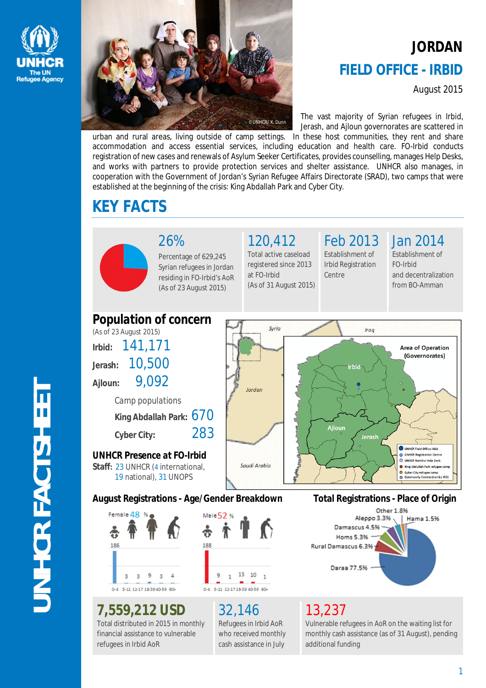



# **JORDAN FIELD OFFICE - IRBID**

August 2015

The vast majority of Syrian refugees in Irbid, Jerash, and Ajloun governorates are scattered in

urban and rural areas, living outside of camp settings. In these host communities, they rent and share accommodation and access essential services, including education and health care. FO-Irbid conducts registration of new cases and renewals of Asylum Seeker Certificates, provides counselling, manages Help Desks, and works with partners to provide protection services and shelter assistance. UNHCR also manages, in cooperation with the Government of Jordan's Syrian Refugee Affairs Directorate (SRAD), two camps that were established at the beginning of the crisis: King Abdallah Park and Cyber City.

# **KEY FACTS**



26% Percentage of 629,245 Syrian refugees in Jordan

residing in FO-Irbid's AoR (As of 23 August 2015)

120,412 Total active caseload registered since 2013

(As of 31 August 2015)

at FO-Irbid

# Feb 2013

Establishment of Irbid Registration Centre

Jan 2014

Establishment of FO-Irbid and decentralization from BO-Amman





**7,559,212 USD**

refugees in Irbid AoR

Total distributed in 2015 in monthly financial assistance to vulnerable

# 32,146

9

Refugees in Irbid AoR who received monthly cash assistance in July

13 10

# 13,237

Daraa 77.5%

Vulnerable refugees in AoR on the waiting list for monthly cash assistance (as of 31 August), pending additional funding

# **UNHCR FACTSHEET JNHCR FACTSHEE**